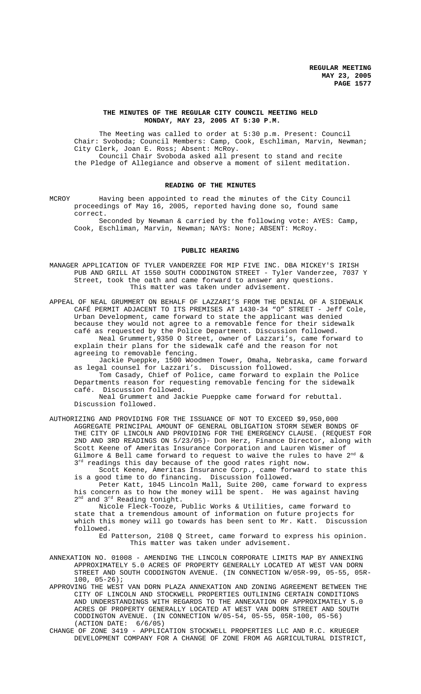# **THE MINUTES OF THE REGULAR CITY COUNCIL MEETING HELD MONDAY, MAY 23, 2005 AT 5:30 P.M.**

The Meeting was called to order at 5:30 p.m. Present: Council Chair: Svoboda; Council Members: Camp, Cook, Eschliman, Marvin, Newman; City Clerk, Joan E. Ross; Absent: McRoy. Council Chair Svoboda asked all present to stand and recite the Pledge of Allegiance and observe a moment of silent meditation.

### **READING OF THE MINUTES**

MCROY Having been appointed to read the minutes of the City Council proceedings of May 16, 2005, reported having done so, found same correct.

Seconded by Newman & carried by the following vote: AYES: Camp, Cook, Eschliman, Marvin, Newman; NAYS: None; ABSENT: McRoy.

#### **PUBLIC HEARING**

MANAGER APPLICATION OF TYLER VANDERZEE FOR MIP FIVE INC. DBA MICKEY'S IRISH PUB AND GRILL AT 1550 SOUTH CODDINGTON STREET - Tyler Vanderzee, 7037 Y Street, took the oath and came forward to answer any questions. This matter was taken under advisement.

APPEAL OF NEAL GRUMMERT ON BEHALF OF LAZZARI'S FROM THE DENIAL OF A SIDEWALK CAFÉ PERMIT ADJACENT TO ITS PREMISES AT 1430-34 "O" STREET - Jeff Cole, Urban Development, came forward to state the applicant was denied because they would not agree to a removable fence for their sidewalk café as requested by the Police Department. Discussion followed. Neal Grummert,9350 O Street, owner of Lazzari's, came forward to explain their plans for the sidewalk café and the reason for not agreeing to removable fencing.

Jackie Pueppke, 1500 Woodmen Tower, Omaha, Nebraska, came forward as legal counsel for Lazzari's. Discussion followed.

Tom Casady, Chief of Police, came forward to explain the Police Departments reason for requesting removable fencing for the sidewalk café. Discussion followed.

Neal Grummert and Jackie Pueppke came forward for rebuttal. Discussion followed.

AUTHORIZING AND PROVIDING FOR THE ISSUANCE OF NOT TO EXCEED \$9,950,000 AGGREGATE PRINCIPAL AMOUNT OF GENERAL OBLIGATION STORM SEWER BONDS OF THE CITY OF LINCOLN AND PROVIDING FOR THE EMERGENCY CLAUSE. (REQUEST FOR 2ND AND 3RD READINGS ON 5/23/05)- Don Herz, Finance Director, along with Scott Keene of Ameritas Insurance Corporation and Lauren Wismer of Gilmore & Bell came forward to request to waive the rules to have  $2^{nd}$  &  $3^{rd}$  readings this day because of the good rates right now.

Scott Keene, Ameritas Insurance Corp., came forward to state this is a good time to do financing. Discussion followed.

Peter Katt, 1045 Lincoln Mall, Suite 200, came forward to express his concern as to how the money will be spent. He was against having 2<sup>nd</sup> and 3<sup>rd</sup> Reading tonight.

Nicole Fleck-Tooze, Public Works & Utilities, came forward to state that a tremendous amount of information on future projects for which this money will go towards has been sent to Mr. Katt. Discussion followed.

Ed Patterson, 2108 Q Street, came forward to express his opinion. This matter was taken under advisement.

ANNEXATION NO. 01008 - AMENDING THE LINCOLN CORPORATE LIMITS MAP BY ANNEXING APPROXIMATELY 5.0 ACRES OF PROPERTY GENERALLY LOCATED AT WEST VAN DORN STREET AND SOUTH CODDINGTON AVENUE. (IN CONNECTION W/05R-99, 05-55, 05R-100, 05-26);

APPROVING THE WEST VAN DORN PLAZA ANNEXATION AND ZONING AGREEMENT BETWEEN THE CITY OF LINCOLN AND STOCKWELL PROPERTIES OUTLINING CERTAIN CONDITIONS AND UNDERSTANDINGS WITH REGARDS TO THE ANNEXATION OF APPROXIMATELY 5.0 ACRES OF PROPERTY GENERALLY LOCATED AT WEST VAN DORN STREET AND SOUTH CODDINGTON AVENUE. (IN CONNECTION W/05-54, 05-55, 05R-100, 05-56) (ACTION DATE: 6/6/05)

CHANGE OF ZONE 3419 - APPLICATION STOCKWELL PROPERTIES LLC AND R.C. KRUEGER DEVELOPMENT COMPANY FOR A CHANGE OF ZONE FROM AG AGRICULTURAL DISTRICT,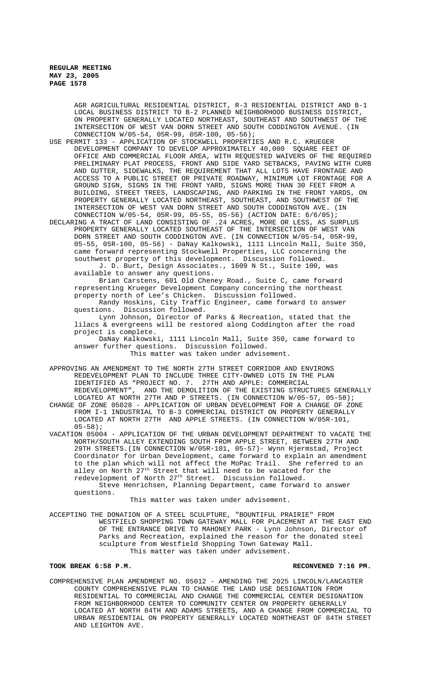> AGR AGRICULTURAL RESIDENTIAL DISTRICT, R-3 RESIDENTIAL DISTRICT AND B-1 LOCAL BUSINESS DISTRICT TO B-2 PLANNED NEIGHBORHOOD BUSINESS DISTRICT, ON PROPERTY GENERALLY LOCATED NORTHEAST, SOUTHEAST AND SOUTHWEST OF THE INTERSECTION OF WEST VAN DORN STREET AND SOUTH CODDINGTON AVENUE. (IN CONNECTION W/05-54, 05R-99, 05R-100, 05-56);

USE PERMIT 133 - APPLICATION OF STOCKWELL PROPERTIES AND R.C. KRUEGER DEVELOPMENT COMPANY TO DEVELOP APPROXIMATELY 40,000 SQUARE FEET OF OFFICE AND COMMERCIAL FLOOR AREA, WITH REQUESTED WAIVERS OF THE REQUIRED PRELIMINARY PLAT PROCESS, FRONT AND SIDE YARD SETBACKS, PAVING WITH CURB AND GUTTER, SIDEWALKS, THE REQUIREMENT THAT ALL LOTS HAVE FRONTAGE AND ACCESS TO A PUBLIC STREET OR PRIVATE ROADWAY, MINIMUM LOT FRONTAGE FOR A GROUND SIGN, SIGNS IN THE FRONT YARD, SIGNS MORE THAN 30 FEET FROM A BUILDING, STREET TREES, LANDSCAPING, AND PARKING IN THE FRONT YARDS, ON PROPERTY GENERALLY LOCATED NORTHEAST, SOUTHEAST, AND SOUTHWEST OF THE INTERSECTION OF WEST VAN DORN STREET AND SOUTH CODDINGTON AVE. (IN CONNECTION W/05-54, 05R-99, 05-55, 05-56) (ACTION DATE: 6/6/05);

DECLARING A TRACT OF LAND CONSISTING OF .24 ACRES, MORE OR LESS, AS SURPLUS PROPERTY GENERALLY LOCATED SOUTHEAST OF THE INTERSECTION OF WEST VAN DORN STREET AND SOUTH CODDINGTON AVE. (IN CONNECTION W/05-54, 05R-99, 05-55, 05R-100, 05-56) - DaNay Kalkowski, 1111 Lincoln Mall, Suite 350, came forward representing Stockwell Properties, LLC concerning the southwest property of this development. Discussion followed. J. D. Burt, Design Associates., 1609 N St., Suite 100, was

available to answer any questions. Brian Carstens, 601 Old Cheney Road., Suite C, came forward representing Krueger Development Company concerning the northeast

property north of Lee's Chicken. Discussion followed.

Randy Hoskins, City Traffic Engineer, came forward to answer<br>questions. Discussion followed. Discussion followed.

Lynn Johnson, Director of Parks & Recreation, stated that the lilacs & evergreens will be restored along Coddington after the road project is complete.

DaNay Kalkowski, 1111 Lincoln Mall, Suite 350, came forward to answer further questions. Discussion followed. This matter was taken under advisement.

APPROVING AN AMENDMENT TO THE NORTH 27TH STREET CORRIDOR AND ENVIRONS REDEVELOPMENT PLAN TO INCLUDE THREE CITY-OWNED LOTS IN THE PLAN IDENTIFIED AS "PROJECT NO. 7. 27TH AND APPLE: COMMERCIAL REDEVELOPMENT", AND THE DEMOLITION OF THE EXISTING STRUCTURES GENERALLY LOCATED AT NORTH 27TH AND P STREETS. (IN CONNECTION W/05-57, 05-58);

CHANGE OF ZONE 05028 - APPLICATION OF URBAN DEVELOPMENT FOR A CHANGE OF ZONE FROM I-1 INDUSTRIAL TO B-3 COMMERCIAL DISTRICT ON PROPERTY GENERALLY LOCATED AT NORTH 27TH AND APPLE STREETS. (IN CONNECTION W/05R-101,  $05 - 58$ );

VACATION 05004 - APPLICATION OF THE URBAN DEVELOPMENT DEPARTMENT TO VACATE THE NORTH/SOUTH ALLEY EXTENDING SOUTH FROM APPLE STREET, BETWEEN 27TH AND 29TH STREETS.(IN CONNECTION W/05R-101, 05-57)- Wynn Hjermstad, Project Coordinator for Urban Development, came forward to explain an amendment to the plan which will not affect the MoPac Trail. She referred to an alley on North 27<sup>th</sup> Street that will need to be vacated for the redevelopment of North 27th Street. Discussion followed.

Steve Henrichsen, Planning Department, came forward to answer questions.

This matter was taken under advisement.

ACCEPTING THE DONATION OF A STEEL SCULPTURE, "BOUNTIFUL PRAIRIE" FROM WESTFIELD SHOPPING TOWN GATEWAY MALL FOR PLACEMENT AT THE EAST END OF THE ENTRANCE DRIVE TO MAHONEY PARK - Lynn Johnson, Director of Parks and Recreation, explained the reason for the donated steel sculpture from Westfield Shopping Town Gateway Mall. This matter was taken under advisement.

# **TOOK BREAK 6:58 P.M. RECONVENED 7:16 PM.**

COMPREHENSIVE PLAN AMENDMENT NO. 05012 - AMENDING THE 2025 LINCOLN/LANCASTER COUNTY COMPREHENSIVE PLAN TO CHANGE THE LAND USE DESIGNATION FROM RESIDENTIAL TO COMMERCIAL AND CHANGE THE COMMERCIAL CENTER DESIGNATION FROM NEIGHBORHOOD CENTER TO COMMUNITY CENTER ON PROPERTY GENERALLY LOCATED AT NORTH 84TH AND ADAMS STREETS, AND A CHANGE FROM COMMERCIAL TO URBAN RESIDENTIAL ON PROPERTY GENERALLY LOCATED NORTHEAST OF 84TH STREET AND LEIGHTON AVE.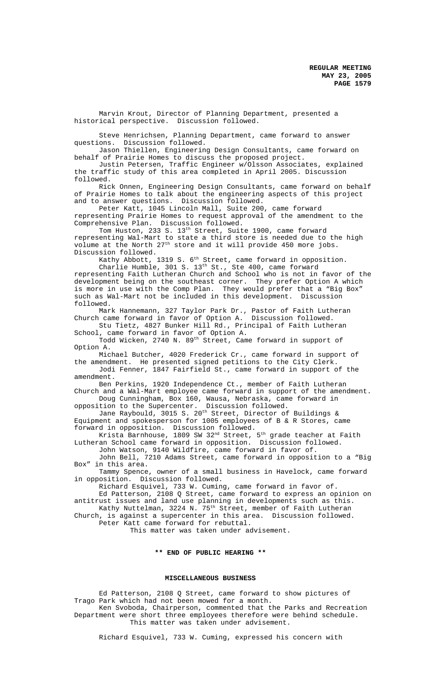Marvin Krout, Director of Planning Department, presented a historical perspective. Discussion followed.

Steve Henrichsen, Planning Department, came forward to answer questions. Discussion followed.

Jason Thiellen, Engineering Design Consultants, came forward on behalf of Prairie Homes to discuss the proposed project.

Justin Petersen, Traffic Engineer w/Olsson Associates, explained the traffic study of this area completed in April 2005. Discussion followed.

Rick Onnen, Engineering Design Consultants, came forward on behalf of Prairie Homes to talk about the engineering aspects of this project and to answer questions. Discussion followed.

Peter Katt, 1045 Lincoln Mall, Suite 200, came forward representing Prairie Homes to request approval of the amendment to the Comprehensive Plan. Discussion followed.

Tom Huston, 233 S. 13<sup>th</sup> Street, Suite 1900, came forward representing Wal-Mart to state a third store is needed due to the high volume at the North 27<sup>th</sup> store and it will provide 450 more jobs. Discussion followed.

Kathy Abbott, 1319 S. 6<sup>th</sup> Street, came forward in opposition.

Charlie Humble, 301 S. 13th St., Ste 400, came forward representing Faith Lutheran Church and School who is not in favor of the development being on the southeast corner. They prefer Option A which is more in use with the Comp Plan. They would prefer that a "Big Box" such as Wal-Mart not be included in this development. Discussion followed.

Mark Hannemann, 327 Taylor Park Dr., Pastor of Faith Lutheran Church came forward in favor of Option A. Discussion followed. Stu Tietz, 4827 Bunker Hill Rd., Principal of Faith Lutheran

School, came forward in favor of Option A.

Todd Wicken, 2740 N. 89<sup>th</sup> Street, Came forward in support of Option A.

Michael Butcher, 4020 Frederick Cr., came forward in support of the amendment. He presented signed petitions to the City Clerk.

Jodi Fenner, 1847 Fairfield St., came forward in support of the amendment.

Ben Perkins, 1920 Independence Ct., member of Faith Lutheran Church and a Wal-Mart employee came forward in support of the amendment.

Doug Cunningham, Box 160, Wausa, Nebraska, came forward in opposition to the Supercenter. Discussion followed. opposition to the Supercenter. Discussion followed.

Jane Raybould, 3015 S. 20<sup>th</sup> Street, Director of Buildings & Equipment and spokesperson for 1005 employees of B & R Stores, came forward in opposition. Discussion followed.

Krista Barnhouse, 1809 SW 32 $^{\rm nd}$  Street, 5 $^{\rm th}$  grade teacher at Faith Lutheran School came forward in opposition. Discussion followed.

John Watson, 9140 Wildfire, came forward in favor of. John Bell, 7210 Adams Street, came forward in opposition to a "Big Box" in this area.

Tammy Spence, owner of a small business in Havelock, came forward in opposition. Discussion followed.

Richard Esquivel, 733 W. Cuming, came forward in favor of. Ed Patterson, 2108 Q Street, came forward to express an opinion on

antitrust issues and land use planning in developments such as this. Kathy Nuttelman, 3224 N. 75<sup>th</sup> Street, member of Faith Lutheran Church, is against a supercenter in this area. Discussion followed.

Peter Katt came forward for rebuttal.

This matter was taken under advisement.

# **\*\* END OF PUBLIC HEARING \*\***

# **MISCELLANEOUS BUSINESS**

Ed Patterson, 2108 Q Street, came forward to show pictures of Trago Park which had not been mowed for a month. Ken Svoboda, Chairperson, commented that the Parks and Recreation Department were short three employees therefore were behind schedule. This matter was taken under advisement.

Richard Esquivel, 733 W. Cuming, expressed his concern with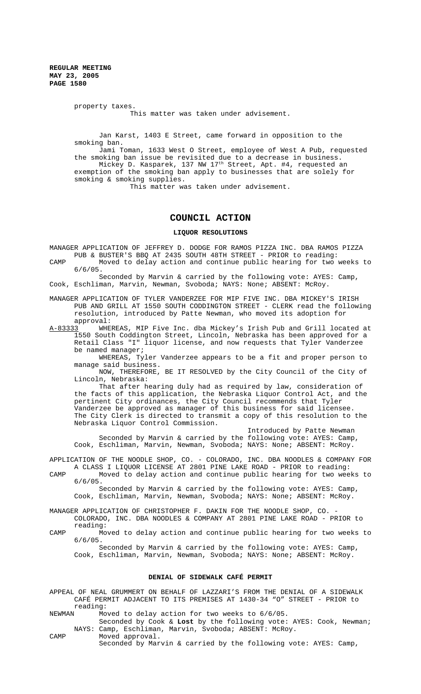> property taxes. This matter was taken under advisement.

Jan Karst, 1403 E Street, came forward in opposition to the smoking ban.

Jami Toman, 1633 West O Street, employee of West A Pub, requested the smoking ban issue be revisited due to a decrease in business. Mickey D. Kasparek, 137 NW 17<sup>th</sup> Street, Apt. #4, requested an exemption of the smoking ban apply to businesses that are solely for smoking & smoking supplies.

This matter was taken under advisement.

# **COUNCIL ACTION**

**LIQUOR RESOLUTIONS**

MANAGER APPLICATION OF JEFFREY D. DODGE FOR RAMOS PIZZA INC. DBA RAMOS PIZZA PUB & BUSTER'S BBQ AT 2435 SOUTH 48TH STREET - PRIOR to reading:

- CAMP Moved to delay action and continue public hearing for two weeks to 6/6/05.
- Seconded by Marvin & carried by the following vote: AYES: Camp, Cook, Eschliman, Marvin, Newman, Svoboda; NAYS: None; ABSENT: McRoy.
- MANAGER APPLICATION OF TYLER VANDERZEE FOR MIP FIVE INC. DBA MICKEY'S IRISH PUB AND GRILL AT 1550 SOUTH CODDINGTON STREET - CLERK read the following resolution, introduced by Patte Newman, who moved its adoption for
- approval:<br>A-<u>83333</u> WHE WHEREAS, MIP Five Inc. dba Mickey's Irish Pub and Grill located at 1550 South Coddington Street, Lincoln, Nebraska has been approved for a Retail Class "I" liquor license, and now requests that Tyler Vanderzee be named manager;

WHEREAS, Tyler Vanderzee appears to be a fit and proper person to manage said business.

NOW, THEREFORE, BE IT RESOLVED by the City Council of the City of Lincoln, Nebraska:

That after hearing duly had as required by law, consideration of the facts of this application, the Nebraska Liquor Control Act, and the pertinent City ordinances, the City Council recommends that Tyler Vanderzee be approved as manager of this business for said licensee. The City Clerk is directed to transmit a copy of this resolution to the Nebraska Liquor Control Commission.

Introduced by Patte Newman Seconded by Marvin & carried by the following vote: AYES: Camp, Cook, Eschliman, Marvin, Newman, Svoboda; NAYS: None; ABSENT: McRoy.

APPLICATION OF THE NOODLE SHOP, CO. - COLORADO, INC. DBA NOODLES & COMPANY FOR A CLASS I LIQUOR LICENSE AT 2801 PINE LAKE ROAD - PRIOR to reading: CAMP Moved to delay action and continue public hearing for two weeks to

6/6/05. Seconded by Marvin & carried by the following vote: AYES: Camp,

Cook, Eschliman, Marvin, Newman, Svoboda; NAYS: None; ABSENT: McRoy.

- MANAGER APPLICATION OF CHRISTOPHER F. DAKIN FOR THE NOODLE SHOP, CO. COLORADO, INC. DBA NOODLES & COMPANY AT 2801 PINE LAKE ROAD - PRIOR to reading:
- CAMP Moved to delay action and continue public hearing for two weeks to 6/6/05.

Seconded by Marvin & carried by the following vote: AYES: Camp, Cook, Eschliman, Marvin, Newman, Svoboda; NAYS: None; ABSENT: McRoy.

#### **DENIAL OF SIDEWALK CAFÉ PERMIT**

APPEAL OF NEAL GRUMMERT ON BEHALF OF LAZZARI'S FROM THE DENIAL OF A SIDEWALK CAFÉ PERMIT ADJACENT TO ITS PREMISES AT 1430-34 "O" STREET - PRIOR to reading:<br>NEWMAN Mo

Moved to delay action for two weeks to 6/6/05.

Seconded by Cook & **Lost** by the following vote: AYES: Cook, Newman; NAYS: Camp, Eschliman, Marvin, Svoboda; ABSENT: McRoy.

CAMP Moved approval. Seconded by Marvin & carried by the following vote: AYES: Camp,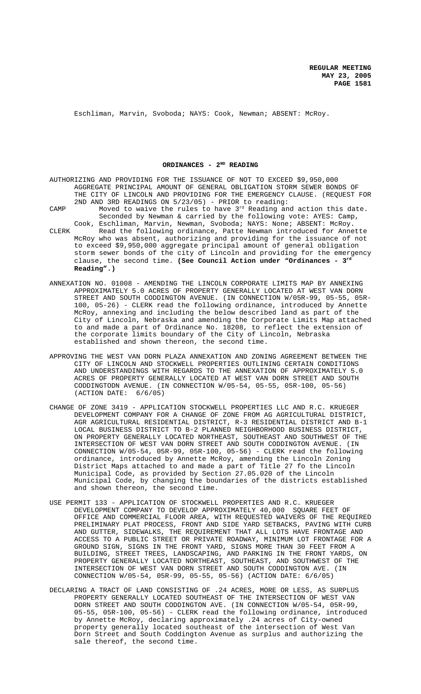Eschliman, Marvin, Svoboda; NAYS: Cook, Newman; ABSENT: McRoy.

ORDINANCES - 2<sup>ND</sup> READING

| AUTHORIZING AND PROVIDING FOR THE ISSUANCE OF NOT TO EXCEED \$9,950,000                |
|----------------------------------------------------------------------------------------|
| AGGREGATE PRINCIPAL AMOUNT OF GENERAL OBLIGATION STORM SEWER BONDS OF                  |
| THE CITY OF LINCOLN AND PROVIDING FOR THE EMERGENCY CLAUSE. (REOUEST FOR               |
| 2ND AND 3RD READINGS ON 5/23/05) - PRIOR to reading:                                   |
| Moved to waive the rules to have 3 <sup>rd</sup> Reading and action this date.<br>CAMP |
| Seconded by Newman & carried by the following vote: AYES: Camp,                        |
| Cook, Eschliman, Marvin, Newman, Svoboda; NAYS: None; ABSENT: McRoy.                   |
| Read the following ordinance, Patte Newman introduced for Annette<br>CLERK             |
| McRoy who was absent, authorizing and providing for the issuance of not                |
| to exceed \$9,950,000 aggregate principal amount of general obligation                 |
| storm sewer bonds of the city of Lincoln and providing for the emergency               |
| clause, the second time. (See Council Action under "Ordinances - $3rd$                 |
| $Readina".$ )                                                                          |

- ANNEXATION NO. 01008 AMENDING THE LINCOLN CORPORATE LIMITS MAP BY ANNEXING APPROXIMATELY 5.0 ACRES OF PROPERTY GENERALLY LOCATED AT WEST VAN DORN STREET AND SOUTH CODDINGTON AVENUE. (IN CONNECTION W/05R-99, 05-55, 05R-100, 05-26) - CLERK read the following ordinance, introduced by Annette McRoy, annexing and including the below described land as part of the City of Lincoln, Nebraska and amending the Corporate Limits Map attached to and made a part of Ordinance No. 18208, to reflect the extension of the corporate limits boundary of the City of Lincoln, Nebraska established and shown thereon, the second time.
- APPROVING THE WEST VAN DORN PLAZA ANNEXATION AND ZONING AGREEMENT BETWEEN THE CITY OF LINCOLN AND STOCKWELL PROPERTIES OUTLINING CERTAIN CONDITIONS AND UNDERSTANDINGS WITH REGARDS TO THE ANNEXATION OF APPROXIMATELY 5.0 ACRES OF PROPERTY GENERALLY LOCATED AT WEST VAN DORN STREET AND SOUTH CODDINGTODN AVENUE. (IN CONNECTION W/05-54, 05-55, 05R-100, 05-56) (ACTION DATE: 6/6/05)
- CHANGE OF ZONE 3419 APPLICATION STOCKWELL PROPERTIES LLC AND R.C. KRUEGER DEVELOPMENT COMPANY FOR A CHANGE OF ZONE FROM AG AGRICULTURAL DISTRICT, AGR AGRICULTURAL RESIDENTIAL DISTRICT, R-3 RESIDENTIAL DISTRICT AND B-1 LOCAL BUSINESS DISTRICT TO B-2 PLANNED NEIGHBORHOOD BUSINESS DISTRICT, ON PROPERTY GENERALLY LOCATED NORTHEAST, SOUTHEAST AND SOUTHWEST OF THE INTERSECTION OF WEST VAN DORN STREET AND SOUTH CODDINGTON AVENUE. (IN CONNECTION W/05-54, 05R-99, 05R-100, 05-56) - CLERK read the following ordinance, introduced by Annette McRoy, amending the Lincoln Zoning District Maps attached to and made a part of Title 27 fo the Lincoln Municipal Code, as provided by Section 27.05.020 of the Lincoln Municipal Code, by changing the boundaries of the districts established and shown thereon, the second time.
- USE PERMIT 133 APPLICATION OF STOCKWELL PROPERTIES AND R.C. KRUEGER DEVELOPMENT COMPANY TO DEVELOP APPROXIMATELY 40,000 SQUARE FEET OF OFFICE AND COMMERCIAL FLOOR AREA, WITH REQUESTED WAIVERS OF THE REQUIRED PRELIMINARY PLAT PROCESS, FRONT AND SIDE YARD SETBACKS, PAVING WITH CURB AND GUTTER, SIDEWALKS, THE REQUIREMENT THAT ALL LOTS HAVE FRONTAGE AND ACCESS TO A PUBLIC STREET OR PRIVATE ROADWAY, MINIMUM LOT FRONTAGE FOR A GROUND SIGN, SIGNS IN THE FRONT YARD, SIGNS MORE THAN 30 FEET FROM A BUILDING, STREET TREES, LANDSCAPING, AND PARKING IN THE FRONT YARDS, ON PROPERTY GENERALLY LOCATED NORTHEAST, SOUTHEAST, AND SOUTHWEST OF THE INTERSECTION OF WEST VAN DORN STREET AND SOUTH CODDINGTON AVE. (IN CONNECTION W/05-54, 05R-99, 05-55, 05-56) (ACTION DATE: 6/6/05)
- DECLARING A TRACT OF LAND CONSISTING OF .24 ACRES, MORE OR LESS, AS SURPLUS PROPERTY GENERALLY LOCATED SOUTHEAST OF THE INTERSECTION OF WEST VAN DORN STREET AND SOUTH CODDINGTON AVE. (IN CONNECTION W/05-54, 05R-99, 05-55, 05R-100, 05-56) - CLERK read the following ordinance, introduced by Annette McRoy, declaring approximately .24 acres of City-owned property generally located southeast of the intersection of West Van Dorn Street and South Coddington Avenue as surplus and authorizing the sale thereof, the second time.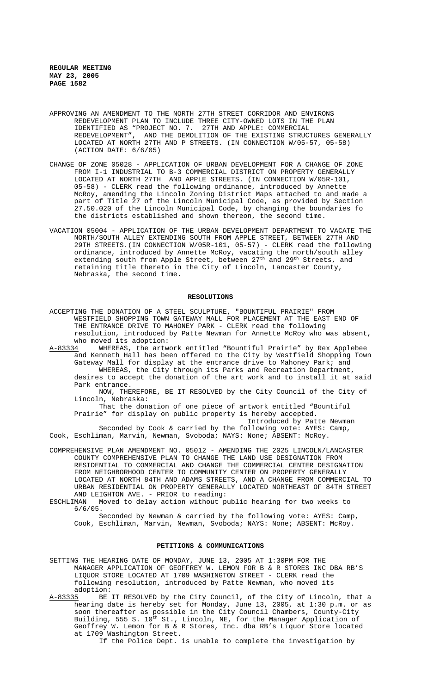- APPROVING AN AMENDMENT TO THE NORTH 27TH STREET CORRIDOR AND ENVIRONS REDEVELOPMENT PLAN TO INCLUDE THREE CITY-OWNED LOTS IN THE PLAN IDENTIFIED AS "PROJECT NO. 7. 27TH AND APPLE: COMMERCIAL REDEVELOPMENT", AND THE DEMOLITION OF THE EXISTING STRUCTURES GENERALLY LOCATED AT NORTH 27TH AND P STREETS. (IN CONNECTION W/05-57, 05-58) (ACTION DATE: 6/6/05)
- CHANGE OF ZONE 05028 APPLICATION OF URBAN DEVELOPMENT FOR A CHANGE OF ZONE FROM I-1 INDUSTRIAL TO B-3 COMMERCIAL DISTRICT ON PROPERTY GENERALLY LOCATED AT NORTH 27TH AND APPLE STREETS. (IN CONNECTION W/05R-101, 05-58) - CLERK read the following ordinance, introduced by Annette McRoy, amending the Lincoln Zoning District Maps attached to and made a part of Title 27 of the Lincoln Municipal Code, as provided by Section 27.50.020 of the Lincoln Municipal Code, by changing the boundaries fo the districts established and shown thereon, the second time.
- VACATION 05004 APPLICATION OF THE URBAN DEVELOPMENT DEPARTMENT TO VACATE THE NORTH/SOUTH ALLEY EXTENDING SOUTH FROM APPLE STREET, BETWEEN 27TH AND 29TH STREETS.(IN CONNECTION W/05R-101, 05-57) - CLERK read the following ordinance, introduced by Annette McRoy, vacating the north/south alley extending south from Apple Street, between  $27^{\text{th}}$  and  $29^{\text{th}}$  Streets, and retaining title thereto in the City of Lincoln, Lancaster County, Nebraska, the second time.

#### **RESOLUTIONS**

- ACCEPTING THE DONATION OF A STEEL SCULPTURE, "BOUNTIFUL PRAIRIE" FROM WESTFIELD SHOPPING TOWN GATEWAY MALL FOR PLACEMENT AT THE EAST END OF THE ENTRANCE DRIVE TO MAHONEY PARK - CLERK read the following resolution, introduced by Patte Newman for Annette McRoy who was absent, who moved its adoption:
- A-83334 WHEREAS, the artwork entitled "Bountiful Prairie" by Rex Applebee and Kenneth Hall has been offered to the City by Westfield Shopping Town Gateway Mall for display at the entrance drive to Mahoney Park; and WHEREAS, the City through its Parks and Recreation Department, desires to accept the donation of the art work and to install it at said Park entrance.

NOW, THEREFORE, BE IT RESOLVED by the City Council of the City of Lincoln, Nebraska:

That the donation of one piece of artwork entitled "Bountiful Prairie" for display on public property is hereby accepted.

Introduced by Patte Newman Seconded by Cook & carried by the following vote: AYES: Camp, Cook, Eschliman, Marvin, Newman, Svoboda; NAYS: None; ABSENT: McRoy.

COMPREHENSIVE PLAN AMENDMENT NO. 05012 - AMENDING THE 2025 LINCOLN/LANCASTER COUNTY COMPREHENSIVE PLAN TO CHANGE THE LAND USE DESIGNATION FROM RESIDENTIAL TO COMMERCIAL AND CHANGE THE COMMERCIAL CENTER DESIGNATION FROM NEIGHBORHOOD CENTER TO COMMUNITY CENTER ON PROPERTY GENERALLY LOCATED AT NORTH 84TH AND ADAMS STREETS, AND A CHANGE FROM COMMERCIAL TO URBAN RESIDENTIAL ON PROPERTY GENERALLY LOCATED NORTHEAST OF 84TH STREET AND LEIGHTON AVE. - PRIOR to reading:

ESCHLIMAN Moved to delay action without public hearing for two weeks to 6/6/05.

Seconded by Newman & carried by the following vote: AYES: Camp, Cook, Eschliman, Marvin, Newman, Svoboda; NAYS: None; ABSENT: McRoy.

# **PETITIONS & COMMUNICATIONS**

- SETTING THE HEARING DATE OF MONDAY, JUNE 13, 2005 AT 1:30PM FOR THE MANAGER APPLICATION OF GEOFFREY W. LEMON FOR B & R STORES INC DBA RB'S LIQUOR STORE LOCATED AT 1709 WASHINGTON STREET - CLERK read the following resolution, introduced by Patte Newman, who moved its
- adoption:<br>A-83335 BE BE IT RESOLVED by the City Council, of the City of Lincoln, that a hearing date is hereby set for Monday, June 13, 2005, at 1:30 p.m. or as soon thereafter as possible in the City Council Chambers, County-City Building, 555 S. 10<sup>th</sup> St., Lincoln, NE, for the Manager Application of Geoffrey W. Lemon for B & R Stores, Inc. dba RB's Liquor Store located at 1709 Washington Street.

If the Police Dept. is unable to complete the investigation by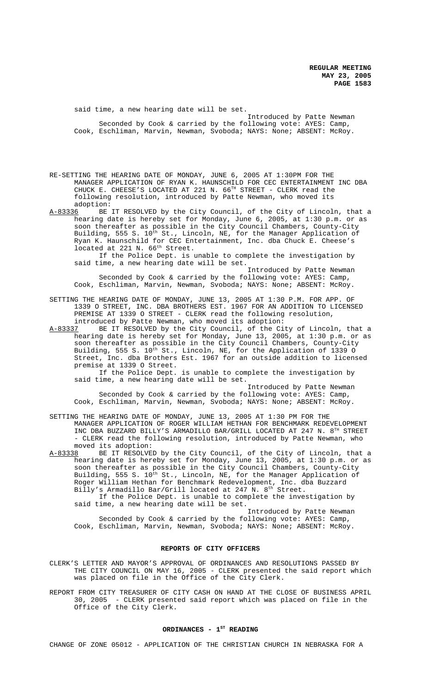said time, a new hearing date will be set.

Introduced by Patte Newman Seconded by Cook & carried by the following vote: AYES: Camp, Cook, Eschliman, Marvin, Newman, Svoboda; NAYS: None; ABSENT: McRoy.

RE-SETTING THE HEARING DATE OF MONDAY, JUNE 6, 2005 AT 1:30PM FOR THE MANAGER APPLICATION OF RYAN K. HAUNSCHILD FOR CEC ENTERTAINMENT INC DBA CHUCK E. CHEESE'S LOCATED AT 221 N.  $66<sup>TH</sup>$  STREET - CLERK read the following resolution, introduced by Patte Newman, who moved its

adoption:<br><u>A-83336</u> BE BE IT RESOLVED by the City Council, of the City of Lincoln, that a hearing date is hereby set for Monday, June 6, 2005, at 1:30 p.m. or as soon thereafter as possible in the City Council Chambers, County-City Building, 555 S. 10<sup>th</sup> St., Lincoln, NE, for the Manager Application of Ryan K. Haunschild for CEC Entertainment, Inc. dba Chuck E. Cheese's located at 221 N. 66<sup>th</sup> Street.

If the Police Dept. is unable to complete the investigation by said time, a new hearing date will be set.

Introduced by Patte Newman Seconded by Cook & carried by the following vote: AYES: Camp, Cook, Eschliman, Marvin, Newman, Svoboda; NAYS: None; ABSENT: McRoy.

SETTING THE HEARING DATE OF MONDAY, JUNE 13, 2005 AT 1:30 P.M. FOR APP. OF 1339 O STREET, INC. DBA BROTHERS EST. 1967 FOR AN ADDITION TO LICENSED PREMISE AT 1339 O STREET - CLERK read the following resolution, introduced by Patte Newman, who moved its adoption:<br>A-83337 BE IT RESOLVED by the City Council, of the Ci

BE IT RESOLVED by the City Council, of the City of Lincoln, that a hearing date is hereby set for Monday, June 13, 2005, at 1:30 p.m. or as soon thereafter as possible in the City Council Chambers, County-City Building, 555 S. 10<sup>th</sup> St., Lincoln, NE, for the Application of 1339 O Street, Inc. dba Brothers Est. 1967 for an outside addition to licensed premise at 1339 O Street.

If the Police Dept. is unable to complete the investigation by said time, a new hearing date will be set.

Introduced by Patte Newman Seconded by Cook & carried by the following vote: AYES: Camp, Cook, Eschliman, Marvin, Newman, Svoboda; NAYS: None; ABSENT: McRoy.

SETTING THE HEARING DATE OF MONDAY, JUNE 13, 2005 AT 1:30 PM FOR THE MANAGER APPLICATION OF ROGER WILLIAM HETHAN FOR BENCHMARK REDEVELOPMENT INC DBA BUZZARD BILLY'S ARMADILLO BAR/GRILL LOCATED AT 247 N. 8TH STREET - CLERK read the following resolution, introduced by Patte Newman, who

moved its adoption:<br>A-83338 BE IT RESOLVE BE IT RESOLVED by the City Council, of the City of Lincoln, that a hearing date is hereby set for Monday, June 13, 2005, at 1:30 p.m. or as soon thereafter as possible in the City Council Chambers, County-City Building, 555 S. 10<sup>th</sup> St., Lincoln, NE, for the Manager Application of Roger William Hethan for Benchmark Redevelopment, Inc. dba Buzzard Billy's Armadillo Bar/Grill located at 247 N. 8<sup>th</sup> Street. If the Police Dept. is unable to complete the investigation by

said time, a new hearing date will be set.

Introduced by Patte Newman Seconded by Cook & carried by the following vote: AYES: Camp, Cook, Eschliman, Marvin, Newman, Svoboda; NAYS: None; ABSENT: McRoy.

#### **REPORTS OF CITY OFFICERS**

CLERK'S LETTER AND MAYOR'S APPROVAL OF ORDINANCES AND RESOLUTIONS PASSED BY THE CITY COUNCIL ON MAY 16, 2005 - CLERK presented the said report which was placed on file in the Office of the City Clerk.

REPORT FROM CITY TREASURER OF CITY CASH ON HAND AT THE CLOSE OF BUSINESS APRIL 30, 2005 - CLERK presented said report which was placed on file in the Office of the City Clerk.

# ORDINANCES - 1<sup>st</sup> READING

CHANGE OF ZONE 05012 - APPLICATION OF THE CHRISTIAN CHURCH IN NEBRASKA FOR A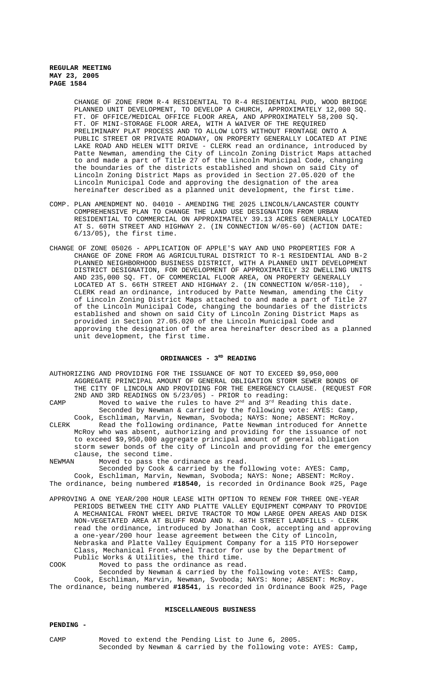CHANGE OF ZONE FROM R-4 RESIDENTIAL TO R-4 RESIDENTIAL PUD, WOOD BRIDGE PLANNED UNIT DEVELOPMENT, TO DEVELOP A CHURCH, APPROXIMATELY 12,000 SQ. FT. OF OFFICE/MEDICAL OFFICE FLOOR AREA, AND APPROXIMATELY 58,200 SQ. FT. OF MINI-STORAGE FLOOR AREA, WITH A WAIVER OF THE REQUIRED PRELIMINARY PLAT PROCESS AND TO ALLOW LOTS WITHOUT FRONTAGE ONTO A PUBLIC STREET OR PRIVATE ROADWAY, ON PROPERTY GENERALLY LOCATED AT PINE LAKE ROAD AND HELEN WITT DRIVE - CLERK read an ordinance, introduced by Patte Newman, amending the City of Lincoln Zoning District Maps attached to and made a part of Title 27 of the Lincoln Municipal Code, changing the boundaries of the districts established and shown on said City of Lincoln Zoning District Maps as provided in Section 27.05.020 of the Lincoln Municipal Code and approving the designation of the area hereinafter described as a planned unit development, the first time.

- COMP. PLAN AMENDMENT NO. 04010 AMENDING THE 2025 LINCOLN/LANCASTER COUNTY COMPREHENSIVE PLAN TO CHANGE THE LAND USE DESIGNATION FROM URBAN RESIDENTIAL TO COMMERCIAL ON APPROXIMATELY 39.13 ACRES GENERALLY LOCATED AT S. 60TH STREET AND HIGHWAY 2. (IN CONNECTION W/05-60) (ACTION DATE: 6/13/05), the first time.
- CHANGE OF ZONE 05026 APPLICATION OF APPLE'S WAY AND UNO PROPERTIES FOR A CHANGE OF ZONE FROM AG AGRICULTURAL DISTRICT TO R-1 RESIDENTIAL AND B-2 PLANNED NEIGHBORHOOD BUSINESS DISTRICT, WITH A PLANNED UNIT DEVELOPMENT DISTRICT DESIGNATION, FOR DEVELOPMENT OF APPROXIMATELY 32 DWELLING UNITS AND 235,000 SQ. FT. OF COMMERCIAL FLOOR AREA, ON PROPERTY GENERALLY LOCATED AT S. 66TH STREET AND HIGHWAY 2. (IN CONNECTION W/05R-110), CLERK read an ordinance, introduced by Patte Newman, amending the City of Lincoln Zoning District Maps attached to and made a part of Title 27 of the Lincoln Municipal Code, changing the boundaries of the districts established and shown on said City of Lincoln Zoning District Maps as provided in Section 27.05.020 of the Lincoln Municipal Code and approving the designation of the area hereinafter described as a planned unit development, the first time.

#### ORDINANCES - 3<sup>RD</sup> READING

AUTHORIZING AND PROVIDING FOR THE ISSUANCE OF NOT TO EXCEED \$9,950,000 AGGREGATE PRINCIPAL AMOUNT OF GENERAL OBLIGATION STORM SEWER BONDS OF THE CITY OF LINCOLN AND PROVIDING FOR THE EMERGENCY CLAUSE. (REQUEST FOR 2ND AND 3RD READINGS ON 5/23/05) - PRIOR to reading:

CAMP Moved to waive the rules to have  $2^{nd}$  and  $3^{rd}$  Reading this date. Seconded by Newman & carried by the following vote: AYES: Camp,

Cook, Eschliman, Marvin, Newman, Svoboda; NAYS: None; ABSENT: McRoy. CLERK Read the following ordinance, Patte Newman introduced for Annette McRoy who was absent, authorizing and providing for the issuance of not to exceed \$9,950,000 aggregate principal amount of general obligation storm sewer bonds of the city of Lincoln and providing for the emergency clause, the second time.

NEWMAN Moved to pass the ordinance as read.

Seconded by Cook & carried by the following vote: AYES: Camp, Cook, Eschliman, Marvin, Newman, Svoboda; NAYS: None; ABSENT: McRoy. The ordinance, being numbered **#18540**, is recorded in Ordinance Book #25, Page

- APPROVING A ONE YEAR/200 HOUR LEASE WITH OPTION TO RENEW FOR THREE ONE-YEAR PERIODS BETWEEN THE CITY AND PLATTE VALLEY EQUIPMENT COMPANY TO PROVIDE A MECHANICAL FRONT WHEEL DRIVE TRACTOR TO MOW LARGE OPEN AREAS AND DISK NON-VEGETATED AREA AT BLUFF ROAD AND N. 48TH STREET LANDFILLS - CLERK read the ordinance, introduced by Jonathan Cook, accepting and approving a one-year/200 hour lease agreement between the City of Lincoln, Nebraska and Platte Valley Equipment Company for a 115 PTO Horsepower Class, Mechanical Front-wheel Tractor for use by the Department of Public Works & Utilities, the third time.
- COOK Moved to pass the ordinance as read. Seconded by Newman & carried by the following vote: AYES: Camp, Cook, Eschliman, Marvin, Newman, Svoboda; NAYS: None; ABSENT: McRoy. The ordinance, being numbered **#18541**, is recorded in Ordinance Book #25, Page

### **MISCELLANEOUS BUSINESS**

#### **PENDING -**

CAMP Moved to extend the Pending List to June 6, 2005. Seconded by Newman & carried by the following vote: AYES: Camp,